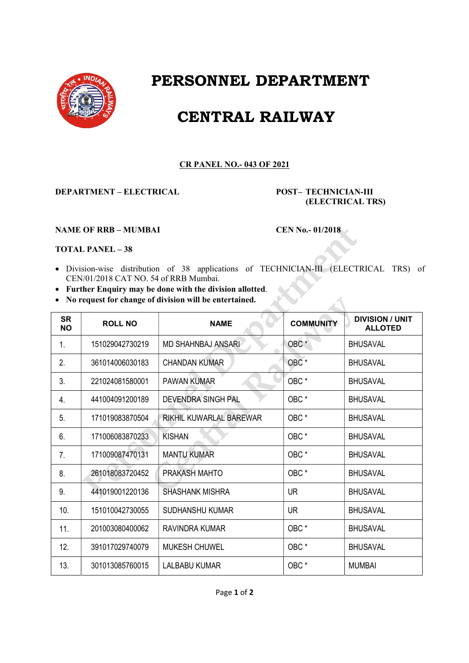

## PERSONNEL DEPARTMENT

## CENTRAL RAILWAY

## CR PANEL NO.- 043 OF 2021

DEPARTMENT – ELECTRICAL POST– TECHNICIAN-III

(ELECTRICAL TRS)

## NAME OF RRB – MUMBAI CEN No.- 01/2018

TOTAL PANEL – 38

- Division-wise distribution of 38 applications of TECHNICIAN-III (ELECTRICAL TRS) of CEN/01/2018 CAT NO. 54 of RRB Mumbai.
- Further Enquiry may be done with the division allotted.
- No request for change of division will be entertained.

| <b>SR</b><br><b>NO</b> | <b>ROLL NO</b>  | <b>NAME</b>               | <b>COMMUNITY</b> | <b>DIVISION / UNIT</b><br><b>ALLOTED</b> |
|------------------------|-----------------|---------------------------|------------------|------------------------------------------|
| 1.                     | 151029042730219 | <b>MD SHAHNBAJ ANSARI</b> | OBC <sup>*</sup> | <b>BHUSAVAL</b>                          |
| 2.                     | 361014006030183 | <b>CHANDAN KUMAR</b>      | OBC <sup>*</sup> | <b>BHUSAVAL</b>                          |
| 3.                     | 221024081580001 | <b>PAWAN KUMAR</b>        | OBC*             | <b>BHUSAVAL</b>                          |
| 4.                     | 441004091200189 | <b>DEVENDRA SINGH PAL</b> | OBC*             | <b>BHUSAVAL</b>                          |
| 5.                     | 171019083870504 | RIKHIL KUWARLAL BAREWAR   | OBC <sup>*</sup> | <b>BHUSAVAL</b>                          |
| 6.                     | 171006083870233 | <b>KISHAN</b>             | OBC*             | <b>BHUSAVAL</b>                          |
| 7.                     | 171009087470131 | <b>MANTU KUMAR</b>        | OBC <sup>*</sup> | <b>BHUSAVAL</b>                          |
| 8.                     | 261018083720452 | PRAKASH MAHTO             | OBC <sup>*</sup> | <b>BHUSAVAL</b>                          |
| 9.                     | 441019001220136 | <b>SHASHANK MISHRA</b>    | <b>UR</b>        | <b>BHUSAVAL</b>                          |
| 10.                    | 151010042730055 | SUDHANSHU KUMAR           | <b>UR</b>        | <b>BHUSAVAL</b>                          |
| 11.                    | 201003080400062 | <b>RAVINDRA KUMAR</b>     | OBC <sup>*</sup> | <b>BHUSAVAL</b>                          |
| 12.                    | 391017029740079 | <b>MUKESH CHUWEL</b>      | OBC*             | <b>BHUSAVAL</b>                          |
| 13.                    | 301013085760015 | LALBABU KUMAR             | OBC <sup>*</sup> | <b>MUMBAI</b>                            |